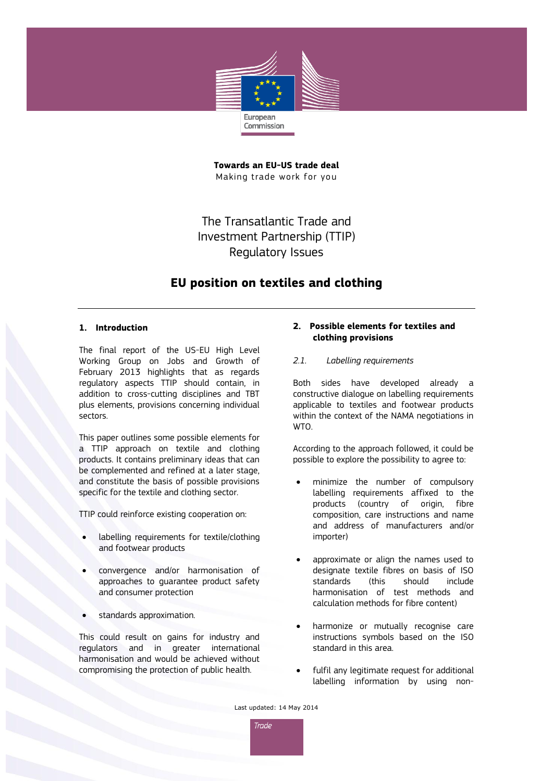

**Towards an EU-US trade deal** Making trade work for you

The Transatlantic Trade and Investment Partnership (TTIP) Regulatory Issues

# **EU position on textiles and clothing**

#### **1. Introduction**

The final report of the US-EU High Level Working Group on Jobs and Growth of February 2013 highlights that as regards regulatory aspects TTIP should contain, in addition to cross-cutting disciplines and TBT plus elements, provisions concerning individual sectors.

This paper outlines some possible elements for a TTIP approach on textile and clothing products. It contains preliminary ideas that can be complemented and refined at a later stage, and constitute the basis of possible provisions specific for the textile and clothing sector.

TTIP could reinforce existing cooperation on:

- labelling requirements for textile/clothing and footwear products
- convergence and/or harmonisation of approaches to guarantee product safety and consumer protection
- standards approximation.

This could result on gains for industry and regulators and in greater international harmonisation and would be achieved without compromising the protection of public health.

## **2. Possible elements for textiles and clothing provisions**

*2.1. Labelling requirements*

Both sides have developed already a constructive dialogue on labelling requirements applicable to textiles and footwear products within the context of the NAMA negotiations in WTO.

According to the approach followed, it could be possible to explore the possibility to agree to:

- minimize the number of compulsory labelling requirements affixed to the products (country of origin, fibre composition, care instructions and name and address of manufacturers and/or importer)
- approximate or align the names used to designate textile fibres on basis of ISO standards (this should include harmonisation of test methods and calculation methods for fibre content)
- harmonize or mutually recognise care instructions symbols based on the ISO standard in this area.
- fulfil any legitimate request for additional labelling information by using non-

Last updated: 14 May 2014

**Trade**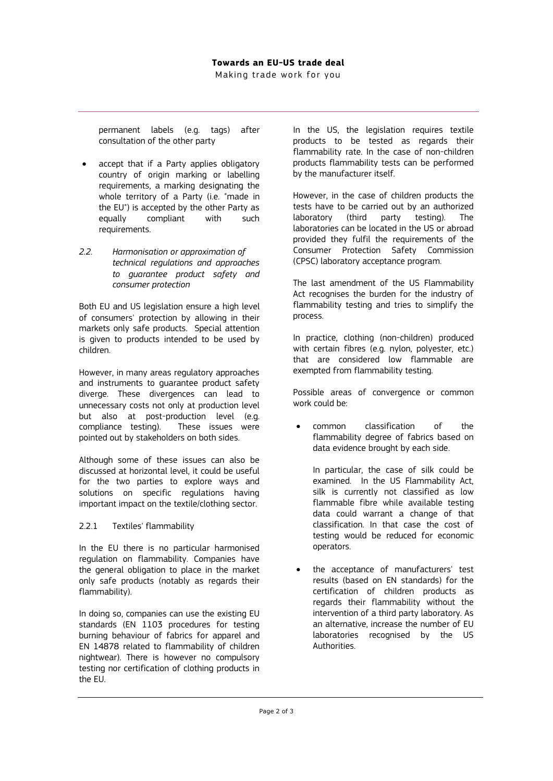permanent labels (e.g. tags) after consultation of the other party

- accept that if a Party applies obligatory country of origin marking or labelling requirements, a marking designating the whole territory of a Party (i.e. "made in the EU") is accepted by the other Party as equally compliant with such requirements.
- *2.2. Harmonisation or approximation of technical regulations and approaches to guarantee product safety and consumer protection*

Both EU and US legislation ensure a high level of consumers' protection by allowing in their markets only safe products. Special attention is given to products intended to be used by children.

However, in many areas regulatory approaches and instruments to guarantee product safety diverge. These divergences can lead to unnecessary costs not only at production level but also at post-production level (e.g. compliance testing). These issues were pointed out by stakeholders on both sides.

Although some of these issues can also be discussed at horizontal level, it could be useful for the two parties to explore ways and solutions on specific regulations having important impact on the textile/clothing sector.

## 2.2.1 Textiles' flammability

In the EU there is no particular harmonised regulation on flammability. Companies have the general obligation to place in the market only safe products (notably as regards their flammability).

In doing so, companies can use the existing EU standards (EN 1103 procedures for testing burning behaviour of fabrics for apparel and EN 14878 related to flammability of children nightwear). There is however no compulsory testing nor certification of clothing products in the EU.

In the US, the legislation requires textile products to be tested as regards their flammability rate. In the case of non-children products flammability tests can be performed by the manufacturer itself.

However, in the case of children products the tests have to be carried out by an authorized laboratory (third party testing). The laboratories can be located in the US or abroad provided they fulfil the requirements of the Consumer Protection Safety Commission (CPSC) laboratory acceptance program.

The last amendment of the US Flammability Act recognises the burden for the industry of flammability testing and tries to simplify the process.

In practice, clothing (non-children) produced with certain fibres (e.g. nylon, polyester, etc.) that are considered low flammable are exempted from flammability testing.

Possible areas of convergence or common work could be:

 common classification of the flammability degree of fabrics based on data evidence brought by each side.

In particular, the case of silk could be examined. In the US Flammability Act, silk is currently not classified as low flammable fibre while available testing data could warrant a change of that classification. In that case the cost of testing would be reduced for economic operators.

 the acceptance of manufacturers' test results (based on EN standards) for the certification of children products as regards their flammability without the intervention of a third party laboratory. As an alternative, increase the number of EU laboratories recognised by the US Authorities.